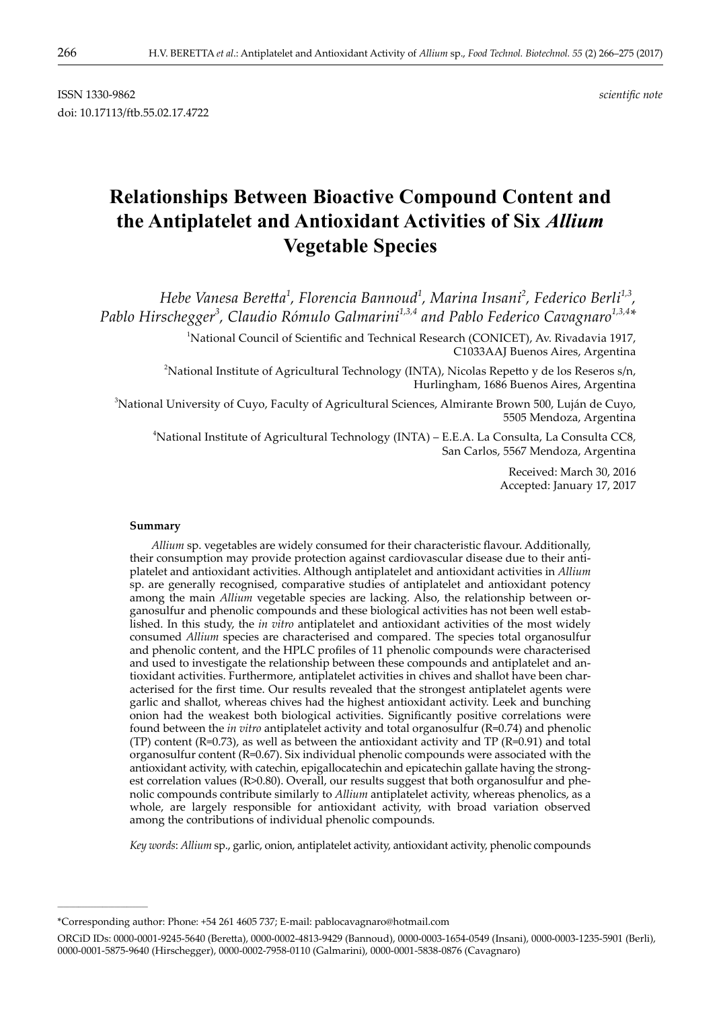# **Relationships Between Bioactive Compound Content and the Antiplatelet and Antioxidant Activities of Six** *Allium* **Vegetable Species**

*Hebe Vanesa Beretta<sup>1</sup> , Florencia Bannoud<sup>1</sup> , Marina Insani<sup>2</sup> , Federico Berli1,3, Pablo Hirschegger<sup>3</sup> , Claudio Rómulo Galmarini1,3,4 and Pablo Federico Cavagnaro1,3,4\**

> <sup>1</sup>National Council of Scientific and Technical Research (CONICET), Av. Rivadavia 1917, C1033AAJ Buenos Aires, Argentina

2 National Institute of Agricultural Technology (INTA), Nicolas Repetto y de los Reseros s/n, Hurlingham, 1686 Buenos Aires, Argentina

3 National University of Cuyo, Faculty of Agricultural Sciences, Almirante Brown 500, Luján de Cuyo, 5505 Mendoza, Argentina

4 National Institute of Agricultural Technology (INTA) – E.E.A. La Consulta, La Consulta CC8, San Carlos, 5567 Mendoza, Argentina

> Received: March 30, 2016 Accepted: January 17, 2017

#### **Summary**

**\_\_\_\_\_\_\_\_\_\_\_\_\_\_\_\_\_\_\_\_\_\_\_\_\_\_\_\_\_\_**

*Allium* sp. vegetables are widely consumed for their characteristic flavour. Additionally, their consumption may provide protection against cardiovascular disease due to their antiplatelet and antioxidant activities. Although antiplatelet and antioxidant activities in *Allium* sp. are generally recognised, comparative studies of antiplatelet and antioxidant potency among the main *Allium* vegetable species are lacking. Also, the relationship between organosulfur and phenolic compounds and these biological activities has not been well established. In this study, the *in vitro* antiplatelet and antioxidant activities of the most widely consumed *Allium* species are characterised and compared. The species total organosulfur and phenolic content, and the HPLC profiles of 11 phenolic compounds were characterised and used to investigate the relationship between these compounds and antiplatelet and antioxidant activities. Furthermore, antiplatelet activities in chives and shallot have been characterised for the first time. Our results revealed that the strongest antiplatelet agents were garlic and shallot, whereas chives had the highest antioxidant activity. Leek and bunching onion had the weakest both biological activities. Significantly positive correlations were found between the *in vitro* antiplatelet activity and total organosulfur (R=0.74) and phenolic (TP) content (R=0.73), as well as between the antioxidant activity and TP (R=0.91) and total organosulfur content (R=0.67). Six individual phenolic compounds were associated with the antioxidant activity, with catechin, epigallocatechin and epicatechin gallate having the strongest correlation values (R>0.80). Overall, our results suggest that both organosulfur and phenolic compounds contribute similarly to *Allium* antiplatelet activity, whereas phenolics, as a whole, are largely responsible for antioxidant activity, with broad variation observed among the contributions of individual phenolic compounds.

*Key words*: *Allium* sp., garlic, onion, antiplatelet activity, antioxidant activity, phenolic compounds

<sup>\*</sup>Corresponding author: Phone: +54 261 4605 737; E-mail: pablocavagnaro@hotmail.com

ORCiD IDs: 0000-0001-9245-5640 (Beretta), 0000-0002-4813-9429 (Bannoud), 0000-0003-1654-0549 (Insani), 0000-0003-1235-5901 (Berli), 0000-0001-5875-9640 (Hirschegger), 0000-0002-7958-0110 (Galmarini), 0000-0001-5838-0876 (Cavagnaro)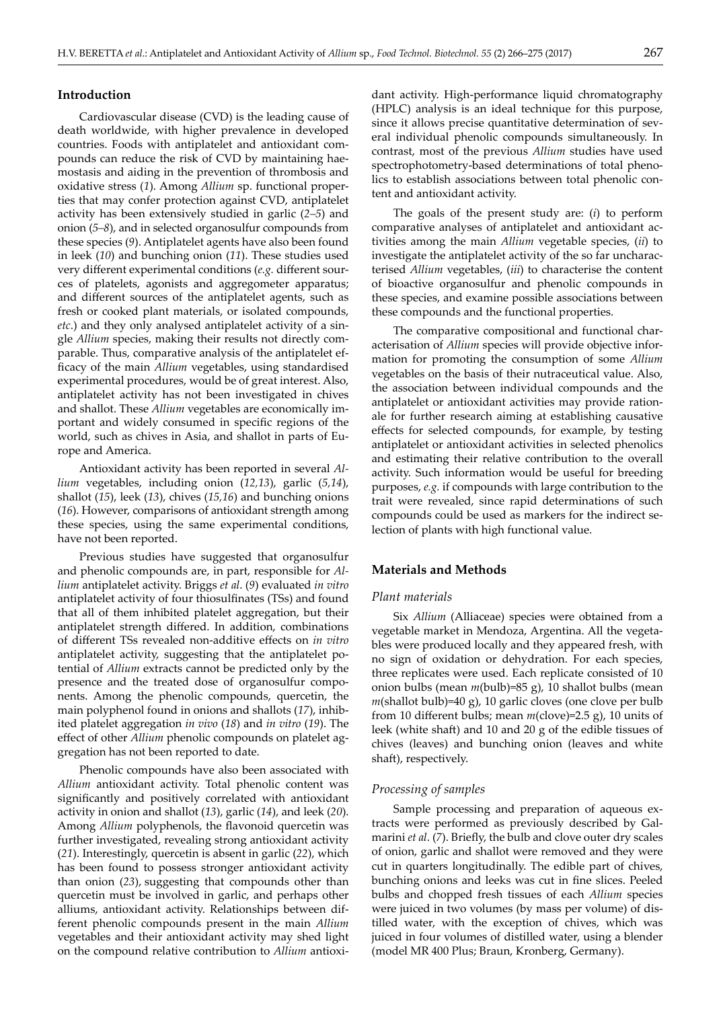# **Introduction**

Cardiovascular disease (CVD) is the leading cause of death worldwide, with higher prevalence in developed countries. Foods with antiplatelet and antioxidant compounds can reduce the risk of CVD by maintaining haemostasis and aiding in the prevention of thrombosis and oxidative stress (*1*). Among *Allium* sp. functional properties that may confer protection against CVD, antiplatelet activity has been extensively studied in garlic (*2–5*) and onion (*5–8*), and in selected organosulfur compounds from these species (*9*). Antiplatelet agents have also been found in leek (*10*) and bunching onion (*11*). These studies used very different experimental conditions (*e.g.* different sources of platelets, agonists and aggregometer apparatus; and different sources of the antiplatelet agents, such as fresh or cooked plant materials, or isolated compounds, *etc*.) and they only analysed antiplatelet activity of a single *Allium* species, making their results not directly comparable. Thus, comparative analysis of the antiplatelet efficacy of the main *Allium* vegetables, using standardised experimental procedures, would be of great interest. Also, antiplatelet activity has not been investigated in chives and shallot. These *Allium* vegetables are economically important and widely consumed in specific regions of the world, such as chives in Asia, and shallot in parts of Europe and America.

Antioxidant activity has been reported in several *Allium* vegetables, including onion (*12,13*), garlic (*5,14*), shallot (*15*), leek (*13*), chives (*15,16*) and bunching onions (*16*). However, comparisons of antioxidant strength among these species, using the same experimental conditions, have not been reported.

Previous studies have suggested that organosulfur and phenolic compounds are, in part, responsible for *Allium* antiplatelet activity. Briggs *et al*. (*9*) evaluated *in vitro* antiplatelet activity of four thiosulfinates (TSs) and found that all of them inhibited platelet aggregation, but their antiplatelet strength differed. In addition, combinations of different TSs revealed non-additive effects on *in vitro* antiplatelet activity, suggesting that the antiplatelet potential of *Allium* extracts cannot be predicted only by the presence and the treated dose of organosulfur components. Among the phenolic compounds, quercetin, the main polyphenol found in onions and shallots (*17*), inhibited platelet aggregation *in vivo* (*18*) and *in vitro* (*19*). The effect of other *Allium* phenolic compounds on platelet aggregation has not been reported to date.

Phenolic compounds have also been associated with *Allium* antioxidant activity. Total phenolic content was significantly and positively correlated with antioxidant activity in onion and shallot (*13*), garlic (*14*), and leek (*20*). Among *Allium* polyphenols, the flavonoid quercetin was further investigated, revealing strong antioxidant activity (*21*). Interestingly, quercetin is absent in garlic (*22*), which has been found to possess stronger antioxidant activity than onion (*23*), suggesting that compounds other than quercetin must be involved in garlic, and perhaps other alliums, antioxidant activity. Relationships between different phenolic compounds present in the main *Allium*  vegetables and their antioxidant activity may shed light on the compound relative contribution to *Allium* antioxidant activity. High-performance liquid chromatography (HPLC) analysis is an ideal technique for this purpose, since it allows precise quantitative determination of several individual phenolic compounds simultaneously. In contrast, most of the previous *Allium* studies have used spectrophotometry-based determinations of total phenolics to establish associations between total phenolic content and antioxidant activity.

The goals of the present study are: (*i*) to perform comparative analyses of antiplatelet and antioxidant activities among the main *Allium* vegetable species, (*ii*) to investigate the antiplatelet activity of the so far uncharacterised *Allium* vegetables, (*iii*) to characterise the content of bioactive organosulfur and phenolic compounds in these species, and examine possible associations between these compounds and the functional properties.

The comparative compositional and functional characterisation of *Allium* species will provide objective information for promoting the consumption of some *Allium* vegetables on the basis of their nutraceutical value. Also, the association between individual compounds and the antiplatelet or antioxidant activities may provide rationale for further research aiming at establishing causative effects for selected compounds, for example, by testing antiplatelet or antioxidant activities in selected phenolics and estimating their relative contribution to the overall activity. Such information would be useful for breeding purposes, *e.g.* if compounds with large contribution to the trait were revealed, since rapid determinations of such compounds could be used as markers for the indirect selection of plants with high functional value.

# **Materials and Methods**

### *Plant materials*

Six *Allium* (Alliaceae) species were obtained from a vegetable market in Mendoza, Argentina. All the vegetables were produced locally and they appeared fresh, with no sign of oxidation or dehydration. For each species, three replicates were used. Each replicate consisted of 10 onion bulbs (mean *m*(bulb)=85 g), 10 shallot bulbs (mean *m*(shallot bulb)=40 g), 10 garlic cloves (one clove per bulb from 10 different bulbs; mean *m*(clove)=2.5 g), 10 units of leek (white shaft) and 10 and 20 g of the edible tissues of chives (leaves) and bunching onion (leaves and white shaft), respectively.

#### *Processing of samples*

Sample processing and preparation of aqueous extracts were performed as previously described by Galmarini *et al*. (*7*). Briefly, the bulb and clove outer dry scales of onion, garlic and shallot were removed and they were cut in quarters longitudinally. The edible part of chives, bunching onions and leeks was cut in fine slices. Peeled bulbs and chopped fresh tissues of each *Allium* species were juiced in two volumes (by mass per volume) of distilled water, with the exception of chives, which was juiced in four volumes of distilled water, using a blender (model MR 400 Plus; Braun, Kronberg, Germany).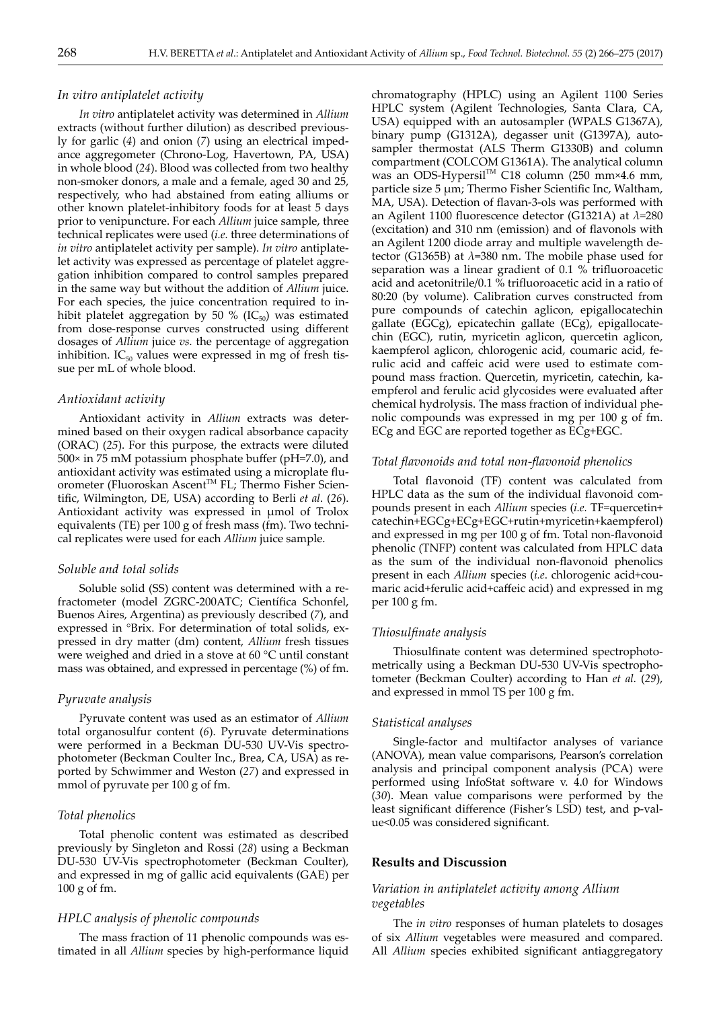#### *In vitro antiplatelet activity*

*In vitro* antiplatelet activity was determined in *Allium* extracts (without further dilution) as described previously for garlic (*4*) and onion (*7*) using an electrical impedance aggregometer (Chrono-Log, Havertown, PA, USA) in whole blood (*24*). Blood was collected from two healthy non-smoker donors, a male and a female, aged 30 and 25, respectively, who had abstained from eating alliums or other known platelet-inhibitory foods for at least 5 days prior to venipuncture. For each *Allium* juice sample, three technical replicates were used (*i.e.* three determinations of *in vitro* antiplatelet activity per sample). *In vitro* antiplatelet activity was expressed as percentage of platelet aggregation inhibition compared to control samples prepared in the same way but without the addition of *Allium* juice. For each species, the juice concentration required to inhibit platelet aggregation by 50 % ( $IC_{50}$ ) was estimated from dose-response curves constructed using different dosages of *Allium* juice *vs.* the percentage of aggregation inhibition.  $IC_{50}$  values were expressed in mg of fresh tissue per mL of whole blood.

#### *Antioxidant activity*

Antioxidant activity in *Allium* extracts was determined based on their oxygen radical absorbance capacity (ORAC) (*25*). For this purpose, the extracts were diluted 500× in 75 mM potassium phosphate buffer (pH=7.0), and antioxidant activity was estimated using a microplate fluorometer (Fluoroskan Ascent™ FL; Thermo Fisher Scientific, Wilmington, DE, USA) according to Berli *et al*. (*26*). Antioxidant activity was expressed in µmol of Trolox equivalents (TE) per 100 g of fresh mass (fm). Two technical replicates were used for each *Allium* juice sample.

#### *Soluble and total solids*

Soluble solid (SS) content was determined with a refractometer (model ZGRC-200ATC; Científica Schonfel, Buenos Aires, Argentina) as previously described (*7*), and expressed in °Brix. For determination of total solids, expressed in dry matter (dm) content, *Allium* fresh tissues were weighed and dried in a stove at 60 °C until constant mass was obtained, and expressed in percentage (%) of fm.

#### *Pyruvate analysis*

Pyruvate content was used as an estimator of *Allium* total organosulfur content (*6*). Pyruvate determinations were performed in a Beckman DU-530 UV-Vis spectrophotometer (Beckman Coulter Inc., Brea, CA, USA) as reported by Schwimmer and Weston (*27*) and expressed in mmol of pyruvate per 100 g of fm.

#### *Total phenolics*

Total phenolic content was estimated as described previously by Singleton and Rossi (*28*) using a Beckman DU-530 UV-Vis spectrophotometer (Beckman Coulter), and expressed in mg of gallic acid equivalents (GAE) per 100 g of fm.

#### *HPLC analysis of phenolic compounds*

The mass fraction of 11 phenolic compounds was estimated in all *Allium* species by high-performance liquid chromatography (HPLC) using an Agilent 1100 Series HPLC system (Agilent Technologies, Santa Clara, CA, USA) equipped with an autosampler (WPALS G1367A), binary pump (G1312A), degasser unit (G1397A), autosampler thermostat (ALS Therm G1330B) and column compartment (COLCOM G1361A). The analytical column was an ODS-Hypersil™ C18 column (250 mm×4.6 mm, particle size 5 µm; Thermo Fisher Scientific Inc, Waltham, MA, USA). Detection of flavan-3-ols was performed with an Agilent 1100 fluorescence detector (G1321A) at *λ*=280 (excitation) and 310 nm (emission) and of flavonols with an Agilent 1200 diode array and multiple wavelength detector (G1365B) at *λ*=380 nm. The mobile phase used for separation was a linear gradient of 0.1 % trifluoroacetic acid and acetonitrile/0.1 % trifluoroacetic acid in a ratio of 80:20 (by volume). Calibration curves constructed from pure compounds of catechin aglicon, epigallocatechin gallate (EGCg), epicatechin gallate (ECg), epigallocatechin (EGC), rutin, myricetin aglicon, quercetin aglicon, kaempferol aglicon, chlorogenic acid, coumaric acid, ferulic acid and caffeic acid were used to estimate compound mass fraction. Quercetin, myricetin, catechin, kaempferol and ferulic acid glycosides were evaluated after chemical hydrolysis. The mass fraction of individual phenolic compounds was expressed in mg per 100 g of fm. ECg and EGC are reported together as ECg+EGC.

#### *Total flavonoids and total non-flavonoid phenolics*

Total flavonoid (TF) content was calculated from HPLC data as the sum of the individual flavonoid compounds present in each *Allium* species (*i.e.* TF=quercetin+ catechin+EGCg+ECg+EGC+rutin+myricetin+kaempferol) and expressed in mg per 100 g of fm. Total non-flavonoid phenolic (TNFP) content was calculated from HPLC data as the sum of the individual non-flavonoid phenolics present in each *Allium* species (*i.e*. chlorogenic acid+coumaric acid+ferulic acid+caffeic acid) and expressed in mg per 100 g fm.

#### *Thiosulfinate analysis*

Thiosulfinate content was determined spectrophotometrically using a Beckman DU-530 UV-Vis spectrophotometer (Beckman Coulter) according to Han *et al.* (*29*), and expressed in mmol TS per 100 g fm.

#### *Statistical analyses*

Single-factor and multifactor analyses of variance (ANOVA), mean value comparisons, Pearson's correlation analysis and principal component analysis (PCA) were performed using InfoStat software v. 4.0 for Windows (*30*). Mean value comparisons were performed by the least significant difference (Fisher's LSD) test, and p-value<0.05 was considered significant.

#### **Results and Discussion**

# *Variation in antiplatelet activity among Allium vegetables*

The *in vitro* responses of human platelets to dosages of six *Allium* vegetables were measured and compared. All *Allium* species exhibited significant antiaggregatory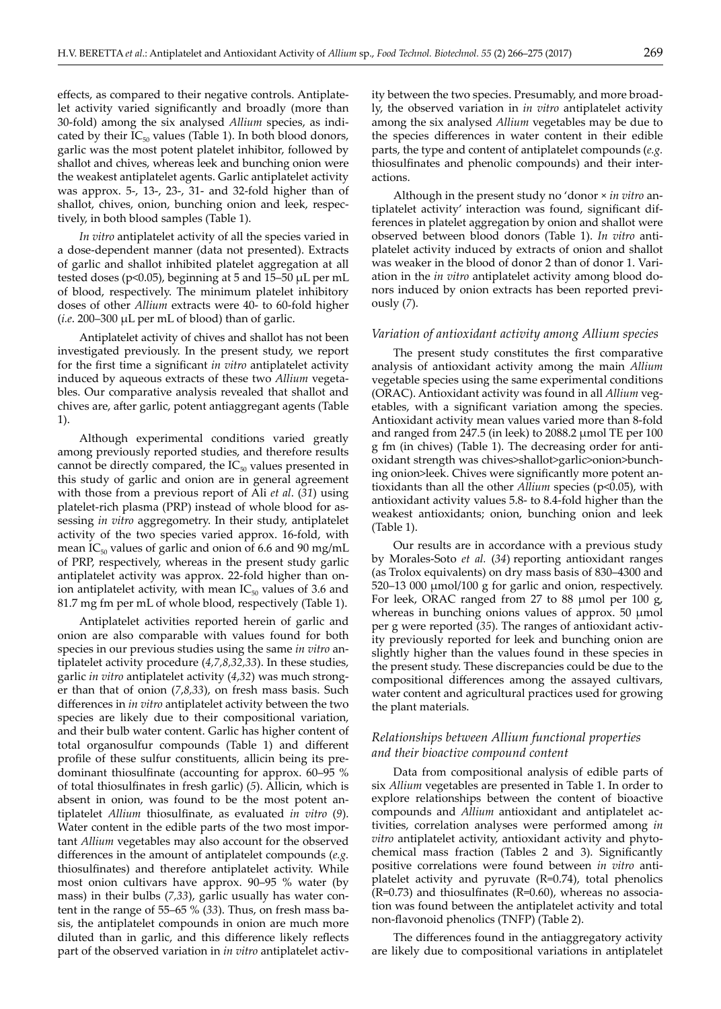effects, as compared to their negative controls. Antiplatelet activity varied significantly and broadly (more than 30-fold) among the six analysed *Allium* species, as indicated by their  $IC_{50}$  values (Table 1). In both blood donors, garlic was the most potent platelet inhibitor, followed by shallot and chives, whereas leek and bunching onion were the weakest antiplatelet agents. Garlic antiplatelet activity was approx. 5-, 13-, 23-, 31- and 32-fold higher than of shallot, chives, onion, bunching onion and leek, respectively, in both blood samples (Table 1).

*In vitro* antiplatelet activity of all the species varied in a dose-dependent manner (data not presented). Extracts of garlic and shallot inhibited platelet aggregation at all tested doses (p<0.05), beginning at 5 and 15–50 µL per mL of blood, respectively. The minimum platelet inhibitory doses of other *Allium* extracts were 40- to 60-fold higher (*i.e*. 200–300 µL per mL of blood) than of garlic.

Antiplatelet activity of chives and shallot has not been investigated previously. In the present study, we report for the first time a significant *in vitro* antiplatelet activity induced by aqueous extracts of these two *Allium* vegetables. Our comparative analysis revealed that shallot and chives are, after garlic, potent antiaggregant agents (Table 1).

Although experimental conditions varied greatly among previously reported studies, and therefore results cannot be directly compared, the  $IC_{50}$  values presented in this study of garlic and onion are in general agreement with those from a previous report of Ali *et al*. (*31*) using platelet-rich plasma (PRP) instead of whole blood for assessing *in vitro* aggregometry. In their study, antiplatelet activity of the two species varied approx. 16-fold, with mean  $IC_{50}$  values of garlic and onion of 6.6 and 90 mg/mL of PRP, respectively, whereas in the present study garlic antiplatelet activity was approx. 22-fold higher than onion antiplatelet activity, with mean  $IC_{50}$  values of 3.6 and 81.7 mg fm per mL of whole blood, respectively (Table 1).

Antiplatelet activities reported herein of garlic and onion are also comparable with values found for both species in our previous studies using the same *in vitro* antiplatelet activity procedure (*4,7,8,32,33*). In these studies, garlic *in vitro* antiplatelet activity (*4*,*32*) was much stronger than that of onion (*7*,*8,33*), on fresh mass basis. Such differences in *in vitro* antiplatelet activity between the two species are likely due to their compositional variation, and their bulb water content. Garlic has higher content of total organosulfur compounds (Table 1) and different profile of these sulfur constituents, allicin being its predominant thiosulfinate (accounting for approx. 60–95 % of total thiosulfinates in fresh garlic) (*5*). Allicin, which is absent in onion, was found to be the most potent antiplatelet *Allium* thiosulfinate, as evaluated *in vitro* (*9*). Water content in the edible parts of the two most important *Allium* vegetables may also account for the observed differences in the amount of antiplatelet compounds (*e.g.* thiosulfinates) and therefore antiplatelet activity. While most onion cultivars have approx. 90–95 % water (by mass) in their bulbs (*7,33*), garlic usually has water content in the range of 55–65 % (*33*). Thus, on fresh mass basis, the antiplatelet compounds in onion are much more diluted than in garlic, and this difference likely reflects part of the observed variation in *in vitro* antiplatelet activity between the two species. Presumably, and more broadly, the observed variation in *in vitro* antiplatelet activity among the six analysed *Allium* vegetables may be due to the species differences in water content in their edible parts, the type and content of antiplatelet compounds (*e.g.* thiosulfinates and phenolic compounds) and their interactions.

Although in the present study no 'donor × *in vitro* antiplatelet activity' interaction was found, significant differences in platelet aggregation by onion and shallot were observed between blood donors (Table 1). *In vitro* antiplatelet activity induced by extracts of onion and shallot was weaker in the blood of donor 2 than of donor 1. Variation in the *in vitro* antiplatelet activity among blood donors induced by onion extracts has been reported previously (*7*).

# *Variation of antioxidant activity among Allium species*

The present study constitutes the first comparative analysis of antioxidant activity among the main *Allium* vegetable species using the same experimental conditions (ORAC). Antioxidant activity was found in all *Allium* vegetables, with a significant variation among the species. Antioxidant activity mean values varied more than 8-fold and ranged from 247.5 (in leek) to 2088.2 µmol TE per 100 g fm (in chives) (Table 1). The decreasing order for antioxidant strength was chives>shallot>garlic>onion>bunching onion>leek. Chives were significantly more potent antioxidants than all the other *Allium* species (p<0.05), with antioxidant activity values 5.8- to 8.4-fold higher than the weakest antioxidants; onion, bunching onion and leek (Table 1).

Our results are in accordance with a previous study by Morales-Soto *et al.* (*34*) reporting antioxidant ranges (as Trolox equivalents) on dry mass basis of 830–4300 and 520–13 000 µmol/100 g for garlic and onion, respectively. For leek, ORAC ranged from 27 to 88 µmol per 100 g, whereas in bunching onions values of approx. 50 µmol per g were reported (*35*). The ranges of antioxidant activity previously reported for leek and bunching onion are slightly higher than the values found in these species in the present study. These discrepancies could be due to the compositional differences among the assayed cultivars, water content and agricultural practices used for growing the plant materials.

# *Relationships between Allium functional properties and their bioactive compound content*

Data from compositional analysis of edible parts of six *Allium* vegetables are presented in Table 1. In order to explore relationships between the content of bioactive compounds and *Allium* antioxidant and antiplatelet activities, correlation analyses were performed among *in vitro* antiplatelet activity, antioxidant activity and phytochemical mass fraction (Tables 2 and 3). Significantly positive correlations were found between *in vitro* antiplatelet activity and pyruvate (R=0.74), total phenolics  $(R=0.73)$  and thiosulfinates  $(R=0.60)$ , whereas no association was found between the antiplatelet activity and total non-flavonoid phenolics (TNFP) (Table 2).

The differences found in the antiaggregatory activity are likely due to compositional variations in antiplatelet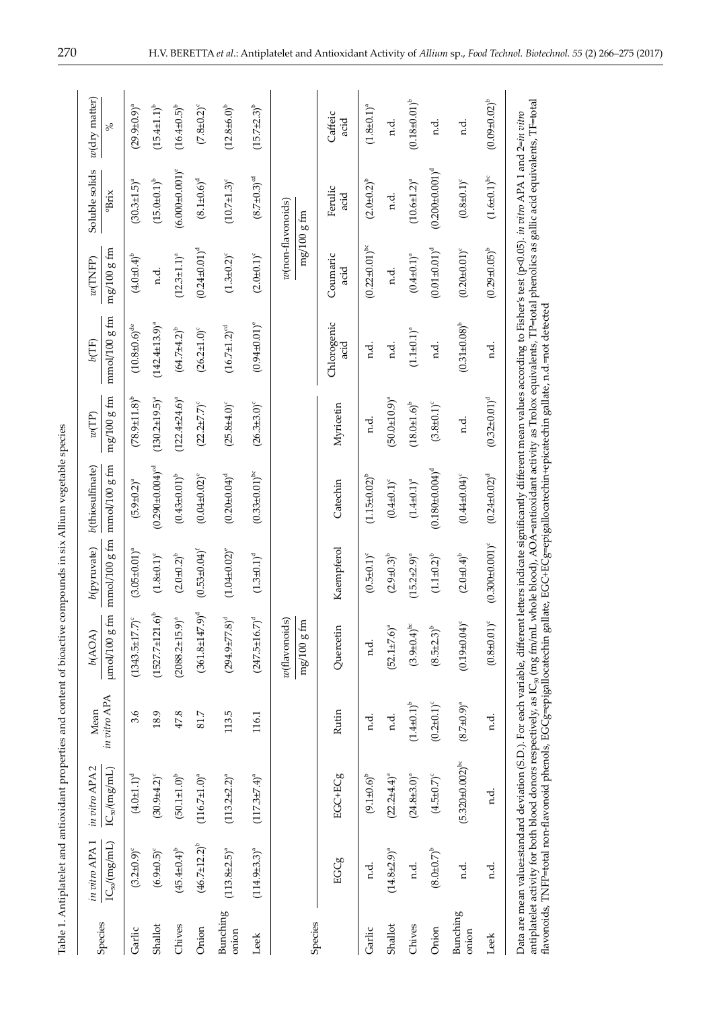| ļ                                                                                               |
|-------------------------------------------------------------------------------------------------|
|                                                                                                 |
| こうしょう アイ・ス                                                                                      |
|                                                                                                 |
|                                                                                                 |
|                                                                                                 |
|                                                                                                 |
|                                                                                                 |
|                                                                                                 |
| l<br>l                                                                                          |
| ı<br>֦֦֦֧֦֦֧֦֧֦֧֦֧֦֧֦֧֦֧֦֧֧֦֧֦֧֧֧֦֧֧֧֧֧֧֧֚֚֚֚֚֚֚֚֚֚֚֚֚֚֚֚֚֚֚֚֚֚֡֝֡֓֓֓֞֓֓֞֡֓֞֡֓֞֡֓֞֡֓֞֓֞֓֞֓֞֡֓֞֞ |
|                                                                                                 |
|                                                                                                 |
|                                                                                                 |
|                                                                                                 |
| i<br>١                                                                                          |
| h                                                                                               |

|                          | in vitro APA 1        | in vitro APA 2                                                                                                                                                                                                                                                                                                                                                                                                                 | Mean                | b(AOA)                                     | b(pyruvate)                   | b(thiosulfinate)                                                                                                                  | $\ensuremath{\mathit{tv}}(\ensuremath{\mathit{TP}})$ | $b$ (TF)                      | w(TNFP)                           | Soluble solids                | $w$ (dry matter)      |
|--------------------------|-----------------------|--------------------------------------------------------------------------------------------------------------------------------------------------------------------------------------------------------------------------------------------------------------------------------------------------------------------------------------------------------------------------------------------------------------------------------|---------------------|--------------------------------------------|-------------------------------|-----------------------------------------------------------------------------------------------------------------------------------|------------------------------------------------------|-------------------------------|-----------------------------------|-------------------------------|-----------------------|
| Species                  | $IC_{50}/(mg/mL)$     | $IC_{50}/(mg/mL)$                                                                                                                                                                                                                                                                                                                                                                                                              | in vitro APA        | $\mu$ mol/100 $\mu$ fm                     | $\text{mmol}/\text{100 g fm}$ | mmol/100 g fm                                                                                                                     | $mg/100$ g fm                                        | $mmol/100$ g fm               | $mg/100g$ fm                      | $rac{1}{B_{\text{mix}}}$      | ಸ್                    |
| Garlic                   | $(3.2 \pm 0.9)^c$     | $(4.0 + 1.1)^d$                                                                                                                                                                                                                                                                                                                                                                                                                | 3.6                 | $(1343.5 \pm 17.7)^{c}$                    | $(3.05 \pm 0.01)^a$           | $(5.9 \pm 0.2)^a$                                                                                                                 | $(78.9 \pm 11.8)^{b}$                                | $(10.8 \pm 0.6)^{de}$         | $(4.0 \pm 0.4)^{b}$               | $(30.3 \pm 1.5)^a$            | $(29.9 + 0.9)^{a}$    |
| Shallot                  | $(6.9 \pm 0.5)^c$     | $(30.9 \pm 4.2)^c$                                                                                                                                                                                                                                                                                                                                                                                                             | 18.9                | $(1527.7 \pm 121.6)^b$                     | $(1.8 + 0.1)^c$               | $(0.290 \pm 0.004)$ <sup>cd</sup>                                                                                                 | $(130.2 \pm 19.5)^{a}$                               | $(142.4 \pm 13.9)^a$          | n.d.                              | $(15.0 + 0.1)^b$              | $(15.4 \pm 1.1)^b$    |
| Chives                   | $(45.4 \pm 0.4)^{b}$  | $(50.1 \pm 1.0)^b$                                                                                                                                                                                                                                                                                                                                                                                                             | 47.8                | $(2088.2 \pm 15.9)^a$                      | $(2.0 \pm 0.2)^{b}$           | $(0.43 \pm 0.01)^{b}$                                                                                                             | $(122.4 \pm 24.6)^a$                                 | $(64.7 + 4.2)^{b}$            | $(12.3 \pm 1.1)^a$                | $(6.000 \pm 0.001)^e$         | $(16.4 \pm 0.5)^{b}$  |
| Onion                    | $(46.7 \pm 12.2)^{b}$ | $(116.7 \pm 1.0)^a$                                                                                                                                                                                                                                                                                                                                                                                                            | 81.7                | $(361.8 \pm 147.9)^d$                      | $(0.53 \pm 0.04)^t$           | $(0.04 + 0.02)^e$                                                                                                                 | $(22.2 \pm 7.7)^c$                                   | $(26.2 \pm 1.0)$ <sup>c</sup> | $(0.24 \pm 0.01)^d$               | $(8.1 \pm 0.6)^d$             | $(7.8 \pm 0.2)^{c}$   |
| <b>Bunching</b><br>onion | $(113.8 + 2.5)^{a}$   | $(113.2 \pm 2.2)^a$                                                                                                                                                                                                                                                                                                                                                                                                            | 113.5               | $(294.9 \pm 77.8)^d$                       | $(1.04 + 0.02)^e$             | $(0.20 + 0.04)^d$                                                                                                                 | $(25.8 + 4.0)$                                       | $(16.7 \pm 1.2)^{cd}$         | $(1.3 \pm 0.2)^{c}$               | $(10.7 \pm 1.3)^c$            | $(12.8\pm6.0)^{b}$    |
| Leek                     | $(114.9±3.3)^a$       | $(117.3 \pm 7.4)^a$                                                                                                                                                                                                                                                                                                                                                                                                            | 116.1               | $(247.5 \pm 16.7)^d$                       | $(1.3\pm0.1)^d$               | $(0.33 \pm 0.01)^{bc}$                                                                                                            | $(26.3\pm3.0)$ <sup>c</sup>                          | $(0.94 \pm 0.01)^e$           | $(2.0 \pm 0.1)^c$                 | $(8.7 \pm 0.3)$ <sup>od</sup> | $(15.7\pm2.3)^b$      |
| Species                  |                       |                                                                                                                                                                                                                                                                                                                                                                                                                                |                     | $w$ (flavonoids)<br>$\mathrm{mg}/100$ g fm |                               |                                                                                                                                   |                                                      |                               | w(non-flavonoids)<br>$mg/100g$ fm |                               |                       |
|                          | EGCg                  | EGCHCg                                                                                                                                                                                                                                                                                                                                                                                                                         | Rutin               | Quercetin                                  | Kaempferol                    | Catechin                                                                                                                          | Myricetin                                            | Chlorogenic<br>acid           | Coumaric<br>acid                  | Ferulic<br>acid               | Caffeic<br>acid       |
| Garlic                   | n.d.                  | $(9.1 \pm 0.6)^{b}$                                                                                                                                                                                                                                                                                                                                                                                                            | nd.                 | n.d.                                       | $(0.5 \pm 0.1)^c$             | $(1.15 \pm 0.02)^{b}$                                                                                                             | n.d.                                                 | d.                            | $(0.22 \pm 0.01)^{bc}$            | $(2.0 \pm 0.2)^{b}$           | $(1.8 \pm 0.1)^a$     |
| Shallot                  | $(14.8 + 2.9)^{a}$    | $(22.2\pm4.4)^{a}$                                                                                                                                                                                                                                                                                                                                                                                                             | n.d.                | $(52.1 \pm 7.6)^a$                         | $(2.9 \pm 0.3)^{b}$           | $(0.4 + 0.1)^c$                                                                                                                   | $(50.0 + 10.9)^a$                                    | n.d.                          | n.d.                              | n.d.                          | n.d.                  |
| Chives                   | n.d.                  | $(24.8 \pm 3.0)^a$                                                                                                                                                                                                                                                                                                                                                                                                             | $(1.4 \pm 0.1)^{b}$ | $(3.9 \pm 0.4)^{bc}$                       | $(15.2 \pm 2.9)^{a}$          | $(1.4\pm0.1)^{a}$                                                                                                                 | $(18.0 + 1.6)^{b}$                                   | $(1.1 + 0.1)^a$               | $(0.4 + 0.1)^a$                   | $(10.6 \pm 1.2)^a$            | $(0.18 + 0.01)^{b}$   |
| Onion                    | $(8.0 \pm 0.7)^{b}$   | $(4.5 \pm 0.7)^{c}$                                                                                                                                                                                                                                                                                                                                                                                                            | $(0.2\pm0.1)^c$     | $(8.5 \pm 2.3)^{b}$                        | $(1.1 + 0.2)^{b}$             | $(0.180 \pm 0.004)^d$                                                                                                             | $(3.8 \pm 0.1)^{c}$                                  | n.d.                          | $(0.01 \pm 0.01)^d$               | $(0.200 \pm 0.001)^d$         | n.d.                  |
| Bunching<br>onion        | n.d.                  | $(5.320 \pm 0.002)^{bc}$                                                                                                                                                                                                                                                                                                                                                                                                       | $(8.7 \pm 0.9)^{a}$ | $(0.19 \pm 0.04)$                          | $(2.0 \pm 0.4)^{b}$           | $(0.44 \pm 0.04)^c$                                                                                                               | n.d.                                                 | $(0.31 \pm 0.08)^{b}$         | $(0.20 \pm 0.01)^c$               | $(0.8 + 0.1)^c$               | n.d.                  |
| Leek                     | n.d.                  | n.d.                                                                                                                                                                                                                                                                                                                                                                                                                           | n.d.                | $(0.8 + 0.01)^c$                           | $(0.300 + 0.001)^c$           | $(0.24 \pm 0.02)^d$                                                                                                               | $(0.32 \pm 0.01)^d$                                  | n.d.                          | $(0.29 \pm 0.05)^{b}$             | $(1.6\pm0.1)^{\rm bc}$        | $(0.09 \pm 0.02)^{b}$ |
|                          |                       | antiplatelet activity for bolood donors respectively, as IC <sub>so</sub> (mg fm/mL whole blood), AOA=antioxidant activity as Trolox equivalents, TP=total phenolics as gallic acid equivalents, TF=total<br>flavonoids, TNFP=total non-flavonoid phenols, EGCg=epigallocatechin gallate, EGC+ECg=epigallocatechin+epicatechin gallate, n.d.=not detected<br>Data are mean value±standard deviation (S.D.). For each variable, |                     |                                            |                               | different letters indicate significantly different mean values according to Fisher's test (p<0.05). in vitro APA 1 and 2=in vitro |                                                      |                               |                                   |                               |                       |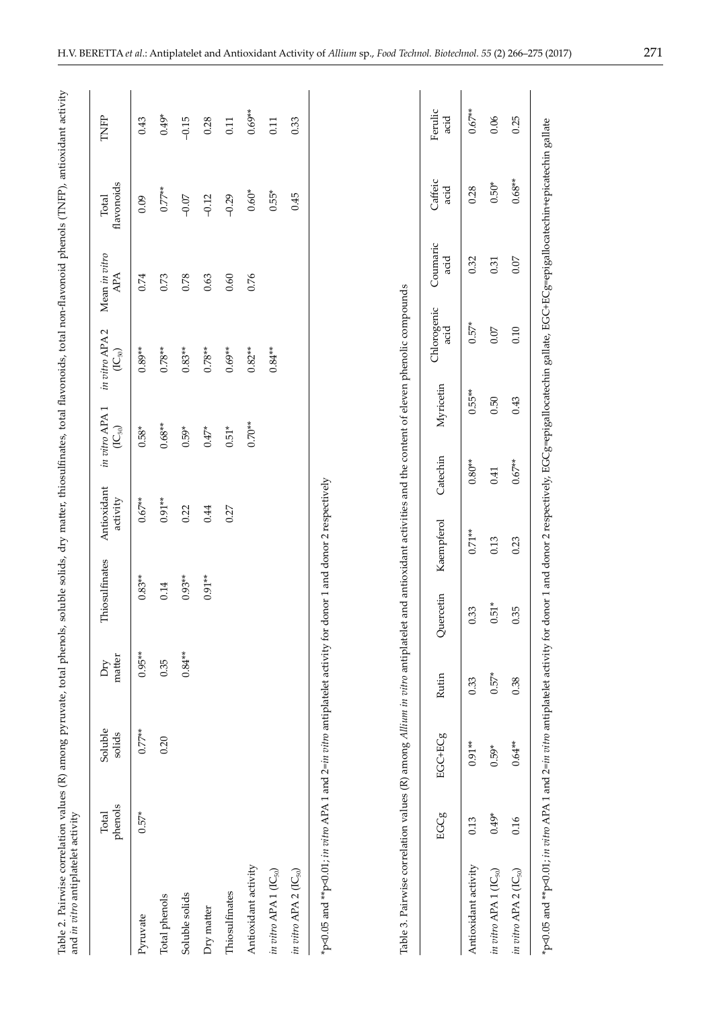|                                                                                                                                                     | phenols<br>Total | Soluble<br>solids | matter<br>Dry | Thiosulfinates | Antioxidant<br>activity | in vitro APA1<br>$(\mathsf{IC}_{50})$ | in vitro APA 2<br>$(\mathsf{IC}_{50})$ | Mean in vitro<br>APA | flavonoids<br>Total | TNFP            |
|-----------------------------------------------------------------------------------------------------------------------------------------------------|------------------|-------------------|---------------|----------------|-------------------------|---------------------------------------|----------------------------------------|----------------------|---------------------|-----------------|
| Pyruvate                                                                                                                                            | $0.57*$          | $0.77**$          | $0.95**$      | $0.83**$       | $0.67**$                | $0.58*$                               | $0.89**$                               | 0.74                 | 0.09                | 0.43            |
| Total phenols                                                                                                                                       |                  | 0.20              | 0.35          | 0.14           | $0.91**$                | $0.68**$                              | $0.78**$                               | 0.73                 | $0.77***$           | $0.49*$         |
| Soluble solids                                                                                                                                      |                  |                   | $0.84**$      | $0.93***$      | 0.22                    | $0.59*$                               | $0.83**$                               | 0.78                 | $-0.07$             | $-0.15$         |
| Dry matter                                                                                                                                          |                  |                   |               | $0.91**$       | 0.44                    | $0.47*$                               | $0.78**$                               | 0.63                 | $-0.12$             | 0.28            |
| Thiosulfinates                                                                                                                                      |                  |                   |               |                | 0.27                    | $0.51*$                               | $0.69**$                               | 0.60                 | $-0.29$             | 0.11            |
| Antioxidant activity                                                                                                                                |                  |                   |               |                |                         | $0.70**$                              | $0.82**$                               | 0.76                 | $0.60*$             | $0.69**$        |
| in vitro APA 1 $(IC_{50})$                                                                                                                          |                  |                   |               |                |                         |                                       | $0.84**$                               |                      | $0.55*$             | 0.11            |
| in vitro APA 2 $(IC_{50})$                                                                                                                          |                  |                   |               |                |                         |                                       |                                        |                      | 0.45                | 0.33            |
| Table 3. Pairwise correlation values (R) among Allium in vitro antiplatelet and antioxidant activities and the content of eleven phenolic compounds |                  |                   |               |                |                         |                                       |                                        |                      |                     |                 |
|                                                                                                                                                     | EGCg             | EGCHCg            | Rutin         | Quercetin      | Kaempferol              | Myricetin<br>Catechin                 | Chlorogenic<br>acid                    | Coumaric<br>acid     | Caffeic<br>acid     | Ferulic<br>acid |
| Antioxidant activity                                                                                                                                | 0.13             | $0.91***$         | 0.33          | 0.33           | $0.71**$                | $0.80**$                              | $0.57*$<br>$0.55***$                   | 0.32                 | 0.28                | $0.67***$       |
| in vitro APA 1 (IC <sub>50</sub> )                                                                                                                  | $0.49*$          | $0.59*$           | $0.57*$       | $0.51*$        | 0.13                    | 0.50<br>0.41                          | 0.07                                   | 0.31                 | $0.50*$             | 0.06            |
| in vitro APA 2 (IC <sub>50</sub> )                                                                                                                  | 0.16             | $0.64**$          | 0.38          | 0.35           | 0.23                    | 0.43<br>$0.67**$                      | 0.10                                   | 0.07                 | $0.68**$            | 0.25            |
|                                                                                                                                                     |                  |                   |               |                |                         |                                       |                                        |                      |                     |                 |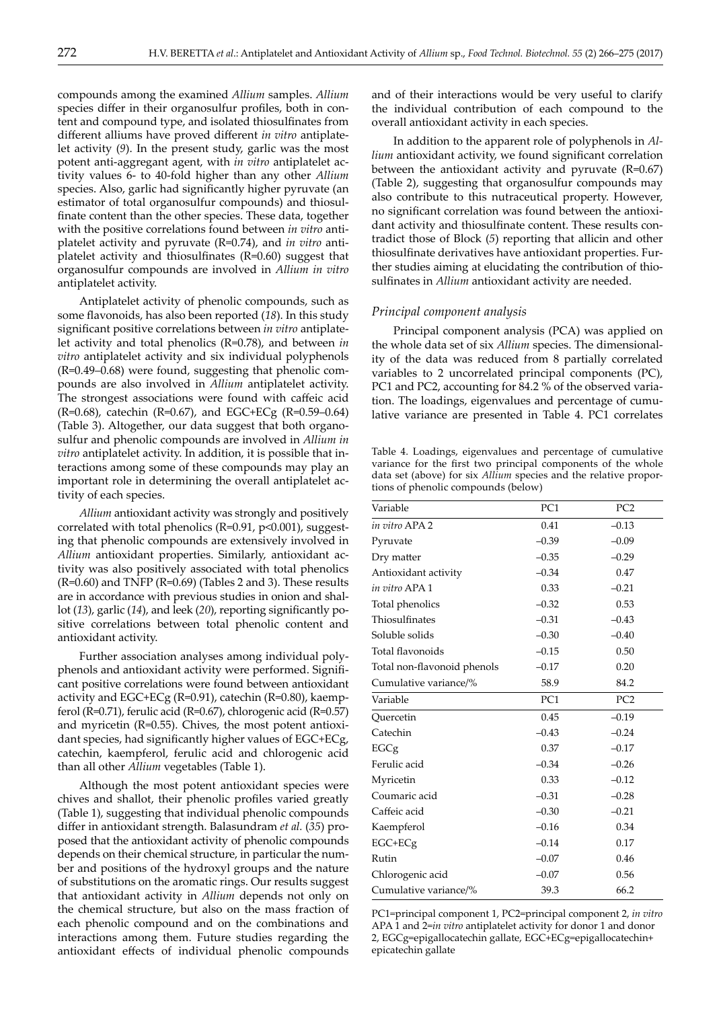compounds among the examined *Allium* samples. *Allium* species differ in their organosulfur profiles, both in content and compound type, and isolated thiosulfinates from different alliums have proved different *in vitro* antiplatelet activity (*9*). In the present study, garlic was the most potent anti-aggregant agent, with *in vitro* antiplatelet activity values 6- to 40-fold higher than any other *Allium* species. Also, garlic had significantly higher pyruvate (an estimator of total organosulfur compounds) and thiosulfinate content than the other species. These data, together with the positive correlations found between *in vitro* antiplatelet activity and pyruvate (R=0.74), and *in vitro* antiplatelet activity and thiosulfinates (R=0.60) suggest that organosulfur compounds are involved in *Allium in vitro* antiplatelet activity.

Antiplatelet activity of phenolic compounds, such as some flavonoids, has also been reported (*18*). In this study significant positive correlations between *in vitro* antiplatelet activity and total phenolics (R=0.78), and between *in vitro* antiplatelet activity and six individual polyphenols (R=0.49–0.68) were found, suggesting that phenolic compounds are also involved in *Allium* antiplatelet activity. The strongest associations were found with caffeic acid  $(R=0.68)$ , catechin  $(R=0.67)$ , and EGC+ECg  $(R=0.59-0.64)$ (Table 3). Altogether, our data suggest that both organosulfur and phenolic compounds are involved in *Allium in vitro* antiplatelet activity. In addition, it is possible that interactions among some of these compounds may play an important role in determining the overall antiplatelet activity of each species.

*Allium* antioxidant activity was strongly and positively correlated with total phenolics ( $R=0.91$ ,  $p<0.001$ ), suggesting that phenolic compounds are extensively involved in *Allium* antioxidant properties. Similarly, antioxidant activity was also positively associated with total phenolics (R=0.60) and TNFP (R=0.69) (Tables 2 and 3). These results are in accordance with previous studies in onion and shallot (*13*), garlic (*14*), and leek (*20*), reporting significantly positive correlations between total phenolic content and antioxidant activity.

Further association analyses among individual polyphenols and antioxidant activity were performed. Significant positive correlations were found between antioxidant activity and EGC+ECg (R=0.91), catechin (R=0.80), kaempferol (R=0.71), ferulic acid (R=0.67), chlorogenic acid (R=0.57) and myricetin (R=0.55). Chives, the most potent antioxidant species, had significantly higher values of EGC+ECg, catechin, kaempferol, ferulic acid and chlorogenic acid than all other *Allium* vegetables (Table 1).

Although the most potent antioxidant species were chives and shallot, their phenolic profiles varied greatly (Table 1), suggesting that individual phenolic compounds differ in antioxidant strength. Balasundram *et al.* (*35*) proposed that the antioxidant activity of phenolic compounds depends on their chemical structure, in particular the number and positions of the hydroxyl groups and the nature of substitutions on the aromatic rings. Our results suggest that antioxidant activity in *Allium* depends not only on the chemical structure, but also on the mass fraction of each phenolic compound and on the combinations and interactions among them. Future studies regarding the antioxidant effects of individual phenolic compounds and of their interactions would be very useful to clarify the individual contribution of each compound to the overall antioxidant activity in each species.

In addition to the apparent role of polyphenols in *Allium* antioxidant activity, we found significant correlation between the antioxidant activity and pyruvate  $(R=0.67)$ (Table 2), suggesting that organosulfur compounds may also contribute to this nutraceutical property. However, no significant correlation was found between the antioxidant activity and thiosulfinate content. These results contradict those of Block (*5*) reporting that allicin and other thiosulfinate derivatives have antioxidant properties. Further studies aiming at elucidating the contribution of thiosulfinates in *Allium* antioxidant activity are needed.

#### *Principal component analysis*

Principal component analysis (PCA) was applied on the whole data set of six *Allium* species. The dimensionality of the data was reduced from 8 partially correlated variables to 2 uncorrelated principal components (PC), PC1 and PC2, accounting for 84.2 % of the observed variation. The loadings, eigenvalues and percentage of cumulative variance are presented in Table 4. PC1 correlates

Table 4. Loadings, eigenvalues and percentage of cumulative variance for the first two principal components of the whole data set (above) for six *Allium* species and the relative proportions of phenolic compounds (below)

| Variable                    | PC <sub>1</sub> | PC <sub>2</sub> |
|-----------------------------|-----------------|-----------------|
| in vitro APA 2              | 0.41            | $-0.13$         |
| Pyruvate                    | $-0.39$         | $-0.09$         |
| Dry matter                  | $-0.35$         | $-0.29$         |
| Antioxidant activity        | $-0.34$         | 0.47            |
| in vitro APA 1              | 0.33            | $-0.21$         |
| Total phenolics             | $-0.32$         | 0.53            |
| Thiosulfinates              | $-0.31$         | $-0.43$         |
| Soluble solids              | $-0.30$         | $-0.40$         |
| Total flavonoids            | $-0.15$         | 0.50            |
| Total non-flavonoid phenols | $-0.17$         | 0.20            |
| Cumulative variance/%       | 58.9            | 84.2            |
| Variable                    | PC1             | PC <sub>2</sub> |
| Ouercetin                   | 0.45            | $-0.19$         |
| Catechin                    | $-0.43$         | $-0.24$         |
| EGCg                        | 0.37            | $-0.17$         |
| Ferulic acid                | $-0.34$         | $-0.26$         |
| Myricetin                   | 0.33            | $-0.12$         |
| Coumaric acid               | $-0.31$         | $-0.28$         |
| Caffeic acid                | $-0.30$         | $-0.21$         |
| Kaempferol                  | $-0.16$         | 0.34            |
| $EGC + ECg$                 | $-0.14$         | 0.17            |
| Rutin                       | $-0.07$         | 0.46            |
| Chlorogenic acid            | $-0.07$         | 0.56            |
| Cumulative variance/%       | 39.3            | 66.2            |

PC1=principal component 1, PC2=principal component 2, *in vitro* APA 1 and 2=*in vitro* antiplatelet activity for donor 1 and donor 2, EGCg=epigallocatechin gallate, EGC+ECg=epigallocatechin+ epicatechin gallate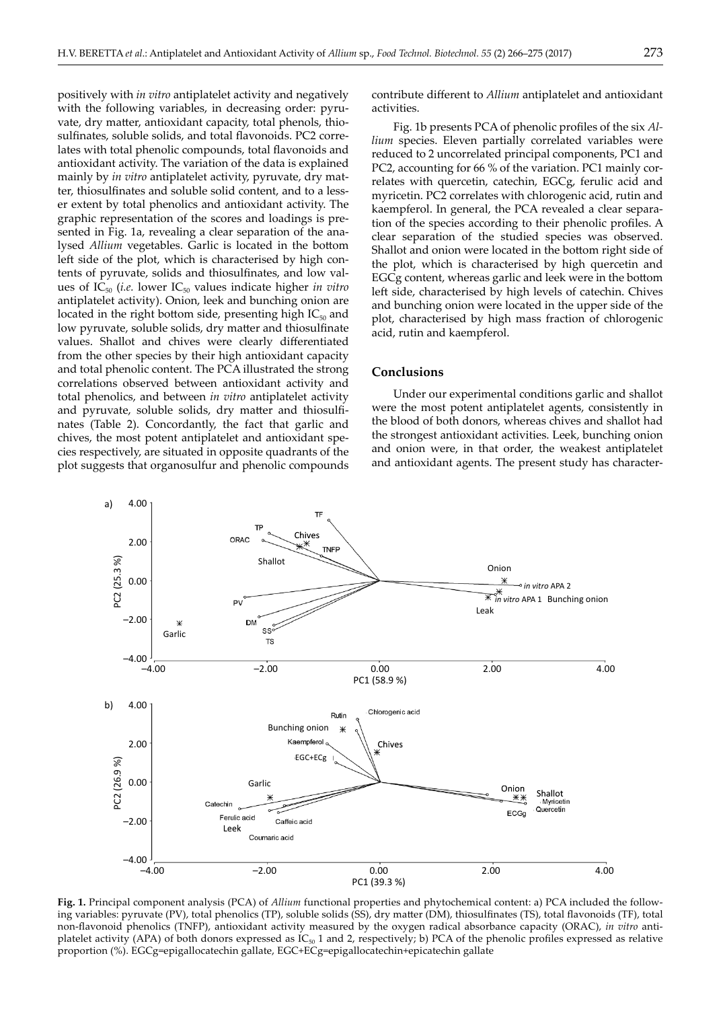positively with *in vitro* antiplatelet activity and negatively with the following variables, in decreasing order: pyruvate, dry matter, antioxidant capacity, total phenols, thiosulfinates, soluble solids, and total flavonoids. PC2 correlates with total phenolic compounds, total flavonoids and antioxidant activity. The variation of the data is explained mainly by *in vitro* antiplatelet activity, pyruvate, dry matter, thiosulfinates and soluble solid content, and to a lesser extent by total phenolics and antioxidant activity. The graphic representation of the scores and loadings is preactivities.

sented in Fig. 1a, revealing a clear separation of the analysed *Allium* vegetables. Garlic is located in the bottom left side of the plot, which is characterised by high contents of pyruvate, solids and thiosulfinates, and low values of  $IC_{50}$  (*i.e.* lower  $IC_{50}$  values indicate higher *in vitro* antiplatelet activity). Onion, leek and bunching onion are located in the right bottom side, presenting high  $IC_{50}$  and low pyruvate, soluble solids, dry matter and thiosulfinate values. Shallot and chives were clearly differentiated from the other species by their high antioxidant capacity and total phenolic content. The PCA illustrated the strong correlations observed between antioxidant activity and total phenolics, and between *in vitro* antiplatelet activity and pyruvate, soluble solids, dry matter and thiosulfinates (Table 2). Concordantly, the fact that garlic and chives, the most potent antiplatelet and antioxidant species respectively, are situated in opposite quadrants of the plot suggests that organosulfur and phenolic compounds contribute different to *Allium* antiplatelet and antioxidant

Fig. 1b presents PCA of phenolic profiles of the six *Allium* species. Eleven partially correlated variables were reduced to 2 uncorrelated principal components, PC1 and PC2, accounting for 66 % of the variation. PC1 mainly correlates with quercetin, catechin, EGCg, ferulic acid and myricetin. PC2 correlates with chlorogenic acid, rutin and kaempferol. In general, the PCA revealed a clear separation of the species according to their phenolic profiles. A clear separation of the studied species was observed. Shallot and onion were located in the bottom right side of the plot, which is characterised by high quercetin and EGCg content, whereas garlic and leek were in the bottom left side, characterised by high levels of catechin. Chives and bunching onion were located in the upper side of the plot, characterised by high mass fraction of chlorogenic acid, rutin and kaempferol.

# **Conclusions**

Under our experimental conditions garlic and shallot were the most potent antiplatelet agents, consistently in the blood of both donors, whereas chives and shallot had the strongest antioxidant activities. Leek, bunching onion and onion were, in that order, the weakest antiplatelet and antioxidant agents. The present study has character-



**Fig. 1.** Principal component analysis (PCA) of *Allium* functional properties and phytochemical content: a) PCA included the following variables: pyruvate (PV), total phenolics (TP), soluble solids (SS), dry matter (DM), thiosulfinates (TS), total flavonoids (TF), total non-flavonoid phenolics (TNFP), antioxidant activity measured by the oxygen radical absorbance capacity (ORAC), *in vitro* antiplatelet activity (APA) of both donors expressed as IC<sub>50</sub> 1 and 2, respectively; b) PCA of the phenolic profiles expressed as relative proportion (%). EGCg=epigallocatechin gallate, EGC+ECg=epigallocatechin+epicatechin gallate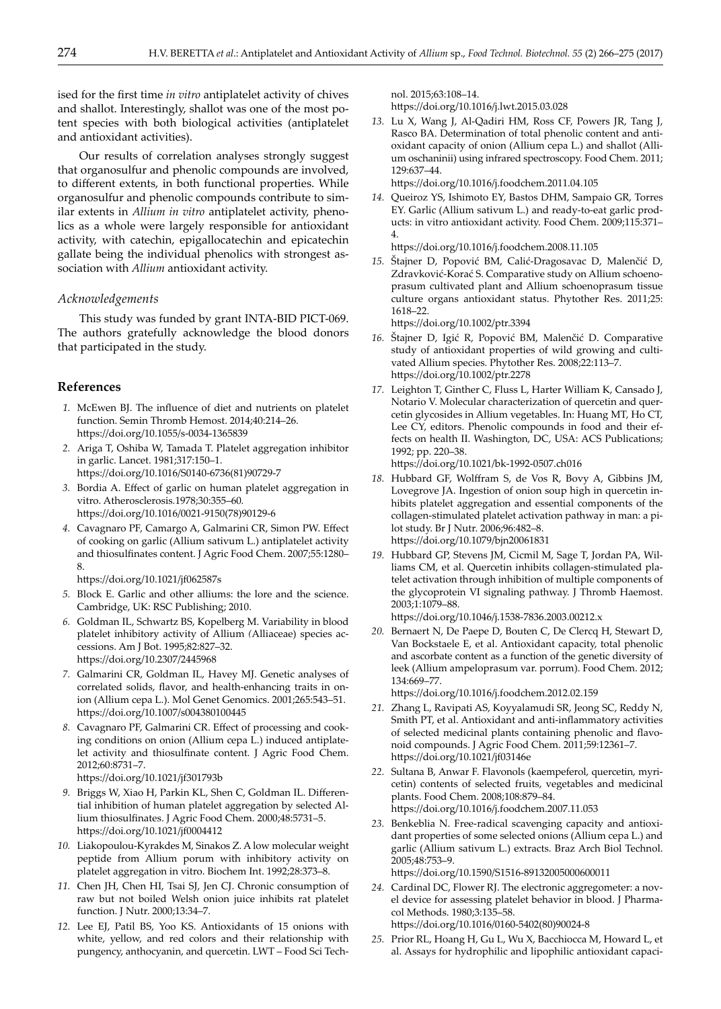ised for the first time *in vitro* antiplatelet activity of chives and shallot. Interestingly, shallot was one of the most potent species with both biological activities (antiplatelet and antioxidant activities).

Our results of correlation analyses strongly suggest that organosulfur and phenolic compounds are involved, to different extents, in both functional properties. While organosulfur and phenolic compounds contribute to similar extents in *Allium in vitro* antiplatelet activity, phenolics as a whole were largely responsible for antioxidant activity, with catechin, epigallocatechin and epicatechin gallate being the individual phenolics with strongest association with *Allium* antioxidant activity.

# *Acknowledgements*

This study was funded by grant INTA-BID PICT-069. The authors gratefully acknowledge the blood donors that participated in the study.

# **References**

- *1.* McEwen BJ. The influence of diet and nutrients on platelet function. Semin Thromb Hemost. 2014;40:214–26. https://doi.org/10.1055/s-0034-1365839
- *2.* Ariga T, Oshiba W, Tamada T. Platelet aggregation inhibitor in garlic. Lancet. 1981;317:150–1. https://doi.org/10.1016/S0140-6736(81)90729-7
- *3.* Bordia A. Effect of garlic on human platelet aggregation in vitro. Atherosclerosis*.*1978;30:355–60*.*

https://doi.org/10.1016/0021-9150(78)90129-6

 *4.* Cavagnaro PF, Camargo A, Galmarini CR, Simon PW. Effect of cooking on garlic (Allium sativum L.) antiplatelet activity and thiosulfinates content. J Agric Food Chem. 2007;55:1280– 8.

https://doi.org/10.1021/jf062587s

- *5.* Block E. Garlic and other alliums: the lore and the science. Cambridge, UK: RSC Publishing; 2010.
- *6.* Goldman IL, Schwartz BS, Kopelberg M. Variability in blood platelet inhibitory activity of Allium *(*Alliaceae) species accessions. Am J Bot. 1995;82:827–32. https://doi.org/10.2307/2445968
- *7.* Galmarini CR, Goldman IL, Havey MJ. Genetic analyses of correlated solids, flavor, and health-enhancing traits in onion (Allium cepa L.). Mol Genet Genomics. 2001;265:543–51. https://doi.org/10.1007/s004380100445
- *8.* Cavagnaro PF, Galmarini CR. Effect of processing and cooking conditions on onion (Allium cepa L.) induced antiplatelet activity and thiosulfinate content. J Agric Food Chem. 2012;60:8731–7.

https://doi.org/10.1021/jf301793b

- *9.* Briggs W, Xiao H, Parkin KL, Shen C, Goldman IL. Differential inhibition of human platelet aggregation by selected Allium thiosulfinates. J Agric Food Chem. 2000;48:5731–5. https://doi.org/10.1021/jf0004412
- *10.* Liakopoulou-Kyrakdes M, Sinakos Z. A low molecular weight peptide from Allium porum with inhibitory activity on platelet aggregation in vitro. Biochem Int. 1992;28:373–8.
- *11.* Chen JH, Chen HI, Tsai SJ, Jen CJ. Chronic consumption of raw but not boiled Welsh onion juice inhibits rat platelet function. J Nutr. 2000;13:34–7.
- *12.* Lee EJ, Patil BS, Yoo KS. Antioxidants of 15 onions with white, yellow, and red colors and their relationship with pungency, anthocyanin, and quercetin. LWT – Food Sci Tech-

nol. 2015;63:108–14.

https://doi.org/10.1016/j.lwt.2015.03.028

*13.* Lu X, Wang J, Al-Qadiri HM, Ross CF, Powers JR, Tang J, Rasco BA. Determination of total phenolic content and antioxidant capacity of onion (Allium cepa L.) and shallot (Allium oschaninii) using infrared spectroscopy. Food Chem. 2011; 129:637–44. https://doi.org/10.1016/j.foodchem.2011.04.105

*14.* Queiroz YS, Ishimoto EY, Bastos DHM, Sampaio GR, Torres EY. Garlic (Allium sativum L.) and ready-to-eat garlic products: in vitro antioxidant activity. Food Chem. 2009;115:371– 4.

https://doi.org/10.1016/j.foodchem.2008.11.105

*15.* Štajner D, Popović BM, Calić-Dragosavac D, Malenčić D, Zdravković-Korać S. Comparative study on Allium schoenoprasum cultivated plant and Allium schoenoprasum tissue culture organs antioxidant status. Phytother Res. 2011;25: 1618–22.

https://doi.org/10.1002/ptr.3394

- *16.* Štajner D, Igić R, Popović BM, Malenčić D. Comparative study of antioxidant properties of wild growing and cultivated Allium species. Phytother Res. 2008;22:113–7. https://doi.org/10.1002/ptr.2278
- *17.* Leighton T, Ginther C, Fluss L, Harter William K, Cansado J, Notario V. Molecular characterization of quercetin and quercetin glycosides in Allium vegetables. In: Huang MT, Ho CT, Lee CY, editors. Phenolic compounds in food and their effects on health II. Washington, DC, USA: ACS Publications; 1992; pp. 220–38.

https://doi.org/10.1021/bk-1992-0507.ch016

- *18.* Hubbard GF, Wolffram S, de Vos R, Bovy A, Gibbins JM, Lovegrove JA. Ingestion of onion soup high in quercetin inhibits platelet aggregation and essential components of the collagen-stimulated platelet activation pathway in man: a pilot study. Br J Nutr. 2006;96:482–8. https://doi.org/10.1079/bjn20061831
- *19.* Hubbard GP, Stevens JM, Cicmil M, Sage T, Jordan PA, Williams CM, et al. Quercetin inhibits collagen-stimulated platelet activation through inhibition of multiple components of the glycoprotein VI signaling pathway. J Thromb Haemost. 2003;1:1079–88. https://doi.org/10.1046/j.1538-7836.2003.00212.x

*20.* Bernaert N, De Paepe D, Bouten C, De Clercq H, Stewart D, Van Bockstaele E, et al. Antioxidant capacity, total phenolic and ascorbate content as a function of the genetic diversity of leek (Allium ampeloprasum var. porrum). Food Chem. 2012; 134:669–77.

https://doi.org/10.1016/j.foodchem.2012.02.159

- *21.* Zhang L, Ravipati AS, Koyyalamudi SR, Jeong SC, Reddy N, Smith PT, et al. Antioxidant and anti-inflammatory activities of selected medicinal plants containing phenolic and flavonoid compounds. J Agric Food Chem. 2011;59:12361–7. https://doi.org/10.1021/jf03146e
- *22.* Sultana B, Anwar F. Flavonols (kaempeferol, quercetin, myricetin) contents of selected fruits, vegetables and medicinal plants. Food Chem. 2008;108:879–84. https://doi.org/10.1016/j.foodchem.2007.11.053
- *23.* Benkeblia N. Free-radical scavenging capacity and antioxidant properties of some selected onions (Allium cepa L.) and garlic (Allium sativum L.) extracts. Braz Arch Biol Technol. 2005;48:753–9.

https://doi.org/10.1590/S1516-89132005000600011

*24.* Cardinal DC, Flower RJ. The electronic aggregometer: a novel device for assessing platelet behavior in blood. J Pharmacol Methods. 1980;3:135–58.

https://doi.org/10.1016/0160-5402(80)90024-8

*25.* Prior RL, Hoang H, Gu L, Wu X, Bacchiocca M, Howard L, et al. Assays for hydrophilic and lipophilic antioxidant capaci